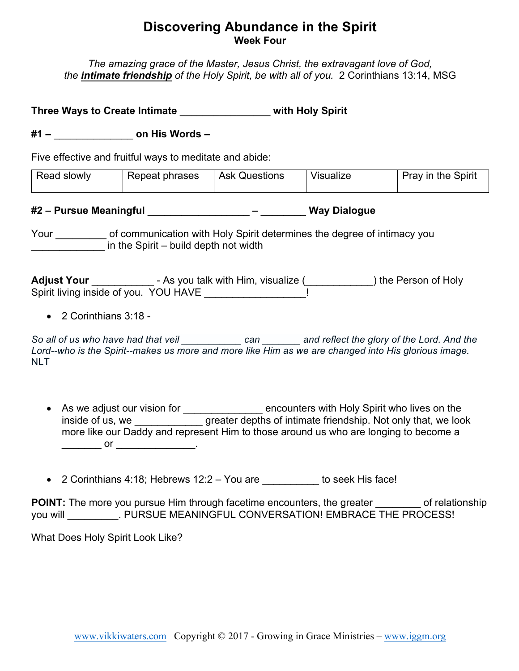## **Discovering Abundance in the Spirit Week Four**

*The amazing grace of the Master, Jesus Christ, the extravagant love of God, the intimate friendship of the Holy Spirit, be with all of you.* 2 Corinthians 13:14, MSG

**Three Ways to Create Intimate** \_\_\_\_\_\_\_\_\_\_\_\_\_\_\_\_ **with Holy Spirit**

**#1 –** \_\_\_\_\_\_\_\_\_\_\_\_\_\_ **on His Words –**

Five effective and fruitful ways to meditate and abide:

| <b>Read slowly</b> | Repeat phrases | <b>Ask Questions</b> | Visualize | Pray in the Spirit |
|--------------------|----------------|----------------------|-----------|--------------------|
|                    |                |                      |           |                    |

## **#2 – Pursue Meaningful** \_\_\_\_\_\_\_\_\_\_\_\_\_\_\_\_\_\_ **–** \_\_\_\_\_\_\_\_ **Way Dialogue**

Your of communication with Holy Spirit determines the degree of intimacy you in the Spirit – build depth not width

Adjust Your \_\_\_\_\_\_\_\_\_\_\_\_\_\_\_- As you talk with Him, visualize (\_\_\_\_\_\_\_\_\_\_\_\_\_\_) the Person of Holy Spirit living inside of you. YOU HAVE

• 2 Corinthians 3:18 -

*So all of us who have had that veil \_\_\_\_\_\_\_\_\_\_\_ can \_\_\_\_\_\_\_ and reflect the glory of the Lord. And the Lord--who is the Spirit--makes us more and more like Him as we are changed into His glorious image.* NLT

- As we adjust our vision for \_\_\_\_\_\_\_\_\_\_\_\_\_\_\_ encounters with Holy Spirit who lives on the inside of us, we **greater depths of intimate friendship.** Not only that, we look more like our Daddy and represent Him to those around us who are longing to become a \_\_\_\_\_\_\_\_\_\_\_\_ or \_\_\_\_\_\_\_\_\_\_\_\_\_\_\_\_\_\_\_.
- 2 Corinthians 4:18; Hebrews  $12:2 You$  are  $\overline{a}$  to seek His face!

**POINT:** The more you pursue Him through facetime encounters, the greater of relationship you will FURSUE MEANINGFUL CONVERSATION! EMBRACE THE PROCESS!

What Does Holy Spirit Look Like?